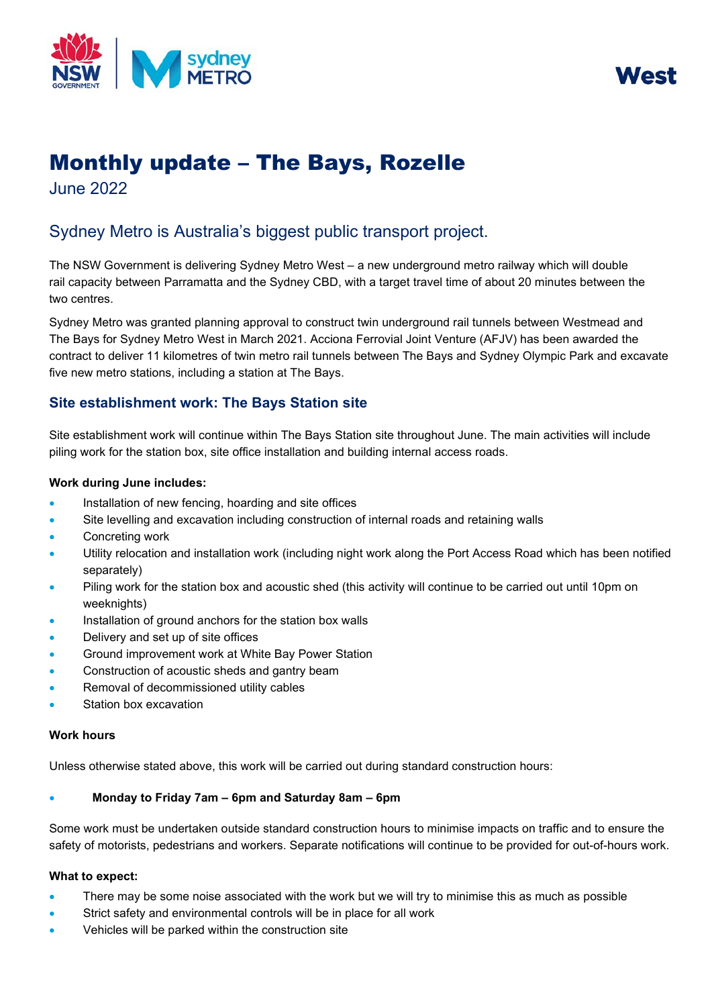



# Monthly update – The Bays, Rozelle

June 2022

# Sydney Metro is Australia's biggest public transport project.

The NSW Government is delivering Sydney Metro West – a new underground metro railway which will double rail capacity between Parramatta and the Sydney CBD, with a target travel time of about 20 minutes between the two centres.

Sydney Metro was granted planning approval to construct twin underground rail tunnels between Westmead and The Bays for Sydney Metro West in March 2021. Acciona Ferrovial Joint Venture (AFJV) has been awarded the contract to deliver 11 kilometres of twin metro rail tunnels between The Bays and Sydney Olympic Park and excavate five new metro stations, including a station at The Bays.

# **Site establishment work: The Bays Station site**

Site establishment work will continue within The Bays Station site throughout June. The main activities will include piling work for the station box, site office installation and building internal access roads.

#### **Work during June includes:**

- Installation of new fencing, hoarding and site offices
- Site levelling and excavation including construction of internal roads and retaining walls
- Concreting work
- Utility relocation and installation work (including night work along the Port Access Road which has been notified separately)
- Piling work for the station box and acoustic shed (this activity will continue to be carried out until 10pm on weeknights)
- Installation of ground anchors for the station box walls
- Delivery and set up of site offices
- Ground improvement work at White Bay Power Station
- Construction of acoustic sheds and gantry beam
- Removal of decommissioned utility cables
- Station box excavation

#### **Work hours**

Unless otherwise stated above, this work will be carried out during standard construction hours:

## • **Monday to Friday 7am – 6pm and Saturday 8am – 6pm**

Some work must be undertaken outside standard construction hours to minimise impacts on traffic and to ensure the safety of motorists, pedestrians and workers. Separate notifications will continue to be provided for out-of-hours work.

#### **What to expect:**

- There may be some noise associated with the work but we will try to minimise this as much as possible
- Strict safety and environmental controls will be in place for all work
- Vehicles will be parked within the construction site